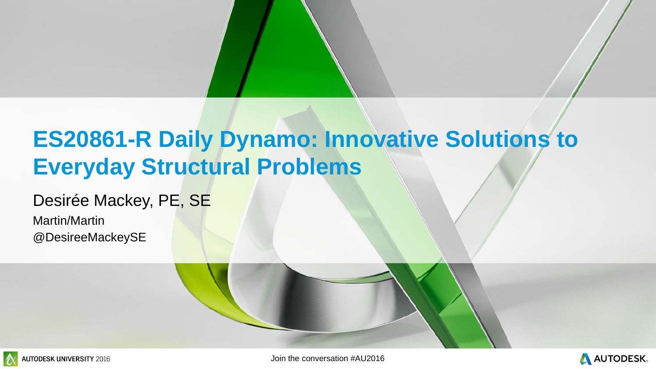#### **ES20861-R Daily Dynamo: Innovative Solutions to Everyday Structural Problems**

#### Desirée Mackey, PE, SE

Martin/Martin @DesireeMackeySE



**EX AUTODESK UNIVERSITY** 2016 **AUTODESK UNIVERSITY** 2016

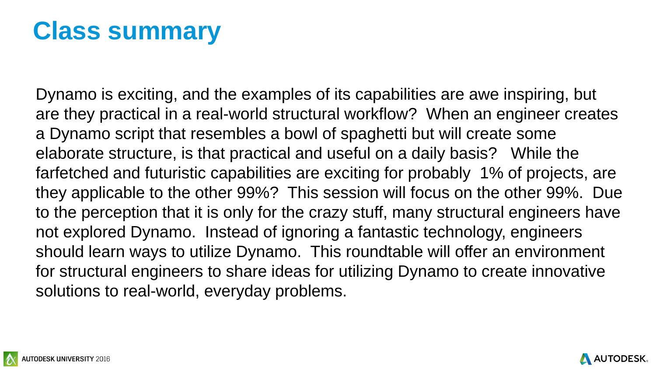



Dynamo is exciting, and the examples of its capabilities are awe inspiring, but are they practical in a real-world structural workflow? When an engineer creates a Dynamo script that resembles a bowl of spaghetti but will create some elaborate structure, is that practical and useful on a daily basis? While the farfetched and futuristic capabilities are exciting for probably 1% of projects, are they applicable to the other 99%? This session will focus on the other 99%. Due to the perception that it is only for the crazy stuff, many structural engineers have not explored Dynamo. Instead of ignoring a fantastic technology, engineers should learn ways to utilize Dynamo. This roundtable will offer an environment for structural engineers to share ideas for utilizing Dynamo to create innovative solutions to real-world, everyday problems.

### **Class summary**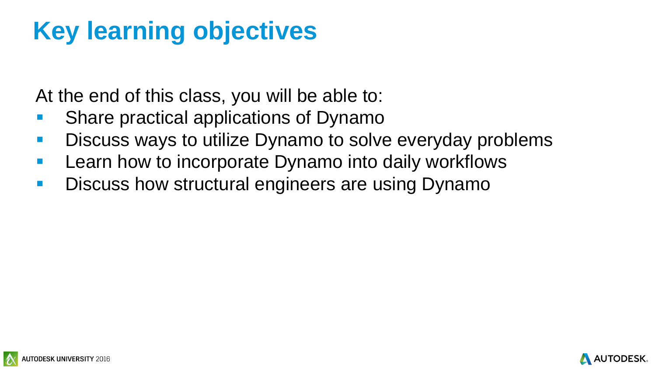



At the end of this class, you will be able to:

- **Share practical applications of Dynamo**
- **Discuss ways to utilize Dynamo to solve everyday problems**
- **Learn how to incorporate Dynamo into daily workflows**
- **Discuss how structural engineers are using Dynamo**

# **Key learning objectives**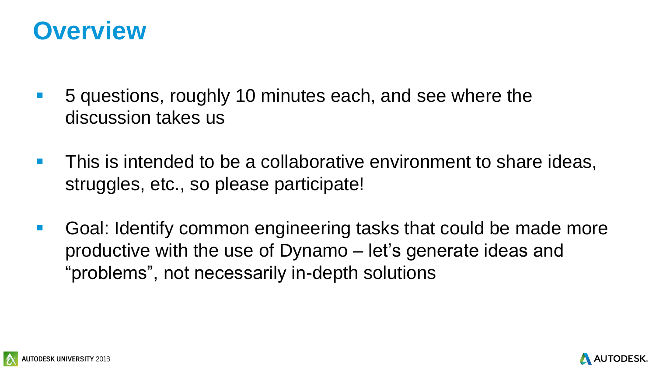



- 5 questions, roughly 10 minutes each, and see where the discussion takes us
- **This is intended to be a collaborative environment to share ideas,** struggles, etc., so please participate!
- **Goal: Identify common engineering tasks that could be made more** productive with the use of Dynamo – let's generate ideas and "problems", not necessarily in-depth solutions

#### **Overview**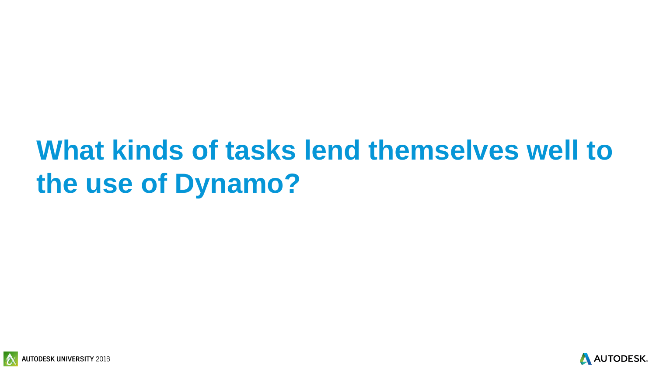



# **What kinds of tasks lend themselves well to the use of Dynamo?**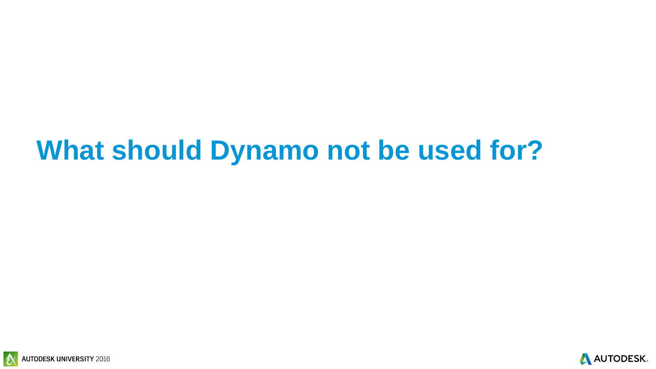



### **What should Dynamo not be used for?**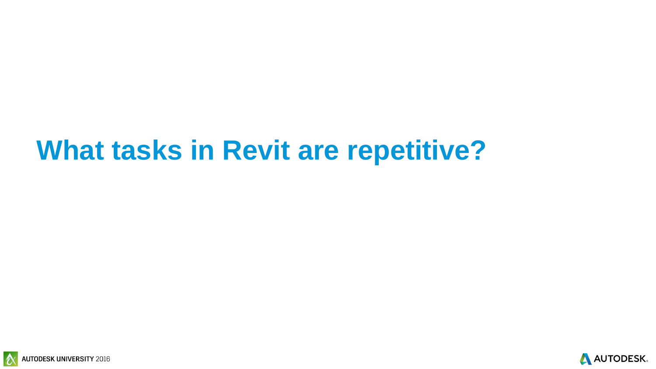





### **What tasks in Revit are repetitive?**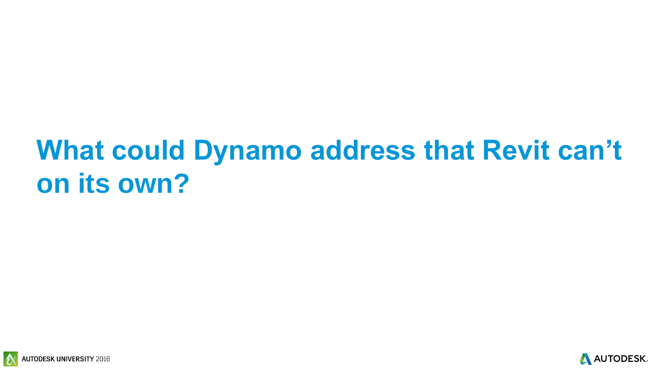



# **What could Dynamo address that Revit can't on its own?**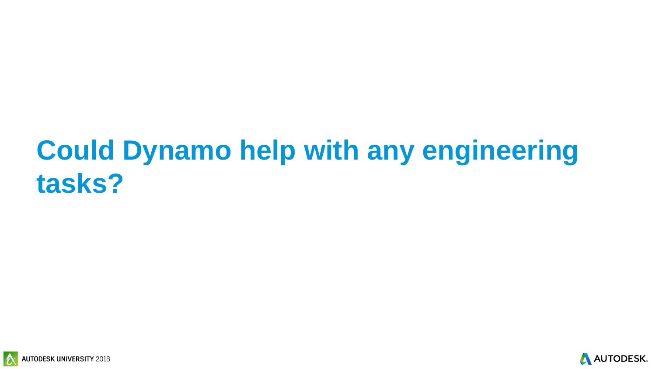



### **Could Dynamo help with any engineering tasks?**